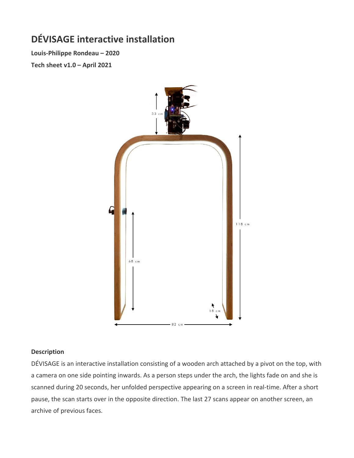# **DÉVISAGE interactive installation**

**Louis-Philippe Rondeau – 2020 Tech sheet v1.0 – April 2021**



### **Description**

DÉVISAGE is an interactive installation consisting of a wooden arch attached by a pivot on the top, with a camera on one side pointing inwards. As a person steps under the arch, the lights fade on and she is scanned during 20 seconds, her unfolded perspective appearing on a screen in real-time. After a short pause, the scan starts over in the opposite direction. The last 27 scans appear on another screen, an archive of previous faces.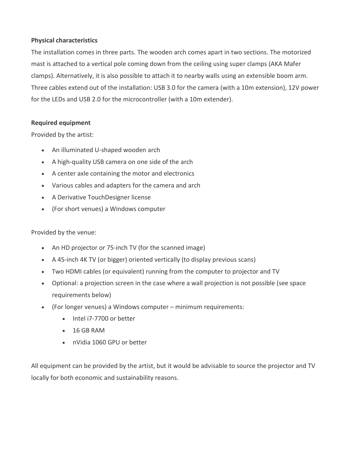## **Physical characteristics**

The installation comes in three parts. The wooden arch comes apart in two sections. The motorized mast is attached to a vertical pole coming down from the ceiling using super clamps (AKA Mafer clamps). Alternatively, it is also possible to attach it to nearby walls using an extensible boom arm. Three cables extend out of the installation: USB 3.0 for the camera (with a 10m extension), 12V power for the LEDs and USB 2.0 for the microcontroller (with a 10m extender).

## **Required equipment**

Provided by the artist:

- An illuminated U-shaped wooden arch
- A high-quality USB camera on one side of the arch
- A center axle containing the motor and electronics
- Various cables and adapters for the camera and arch
- A Derivative TouchDesigner license
- (For short venues) a Windows computer

Provided by the venue:

- An HD projector or 75-inch TV (for the scanned image)
- A 45-inch 4K TV (or bigger) oriented vertically (to display previous scans)
- Two HDMI cables (or equivalent) running from the computer to projector and TV
- Optional: a projection screen in the case where a wall projection is not possible (see space requirements below)
- (For longer venues) a Windows computer minimum requirements:
	- Intel i7-7700 or better
	- 16 GB RAM
	- nVidia 1060 GPU or better

All equipment can be provided by the artist, but it would be advisable to source the projector and TV locally for both economic and sustainability reasons.